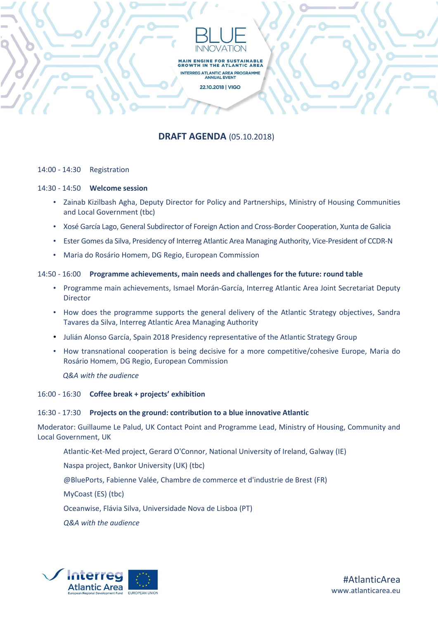

MAIN ENGINE FOR SUSTAINABLE<br>GROWTH IN THE ATLANTIC AREA INTERREG ATLANTIC AREA PROGRAMME<br>ANNUAL EVENT 22.10.2018 | VIGO

# **DRAFT AGENDA** (05.10.2018)

## 14:00 - 14:30 Registration

#### 14:30 - 14:50 **Welcome session**

- Zainab Kizilbash Agha, Deputy Director for Policy and Partnerships, Ministry of Housing Communities and Local Government (tbc)
- Xosé García Lago, General Subdirector of Foreign Action and Cross-Border Cooperation, Xunta de Galicia
- Ester Gomes da Silva, Presidency of Interreg Atlantic Area Managing Authority, Vice-President of CCDR-N
- Maria do Rosário Homem, DG Regio, European Commission

## 14:50 - 16:00 **Programme achievements, main needs and challenges for the future: round table**

- Programme main achievements, Ismael Morán-García, Interreg Atlantic Area Joint Secretariat Deputy Director
- How does the programme supports the general delivery of the Atlantic Strategy objectives, Sandra Tavares da Silva, Interreg Atlantic Area Managing Authority
- Julián Alonso García, Spain 2018 Presidency representative of the Atlantic Strategy Group
- How transnational cooperation is being decisive for a more competitive/cohesive Europe, Maria do Rosário Homem, DG Regio, European Commission

 *Q&A with the audience*

## 16:00 - 16:30 **Coffee break + projects' exhibition**

## 16:30 - 17:30 **Projects on the ground: contribution to a blue innovative Atlantic**

Moderator: Guillaume Le Palud, UK Contact Point and Programme Lead, Ministry of Housing, Community and Local Government, UK

Atlantic-Ket-Med project, Gerard O'Connor, National University of Ireland, Galway (IE)

Naspa project, Bankor University (UK) (tbc)

@BluePorts, Fabienne Valée, Chambre de commerce et d'industrie de Brest (FR)

MyCoast (ES) (tbc)

Oceanwise, Flávia Silva, Universidade Nova de Lisboa (PT)

*Q&A with the audience*